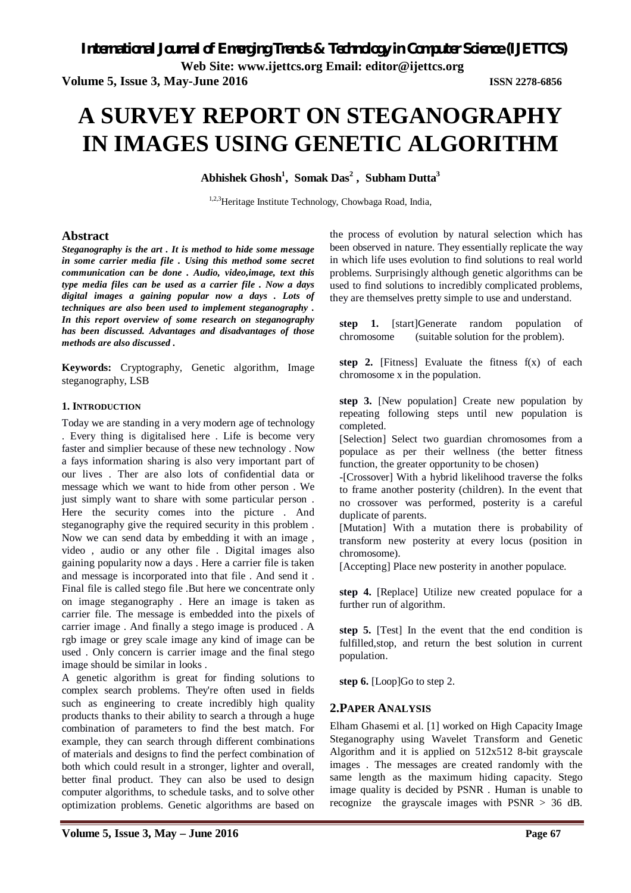*International Journal of Emerging Trends & Technology in Computer Science (IJETTCS)*

**Web Site: www.ijettcs.org Email: editor@ijettcs.org** 

**Volume 5, Issue 3, May-June 2016 ISSN 2278-6856**

# **A SURVEY REPORT ON STEGANOGRAPHY IN IMAGES USING GENETIC ALGORITHM**

**Abhishek Ghosh<sup>1</sup> , Somak Das<sup>2</sup> , Subham Dutta<sup>3</sup>**

1,2,3Heritage Institute Technology, Chowbaga Road, India,

# **Abstract**

*Steganography is the art . It is method to hide some message in some carrier media file . Using this method some secret communication can be done . Audio, video,image, text this type media files can be used as a carrier file . Now a days digital images a gaining popular now a days . Lots of techniques are also been used to implement steganography . In this report overview of some research on steganography has been discussed. Advantages and disadvantages of those methods are also discussed .*

**Keywords:** Cryptography, Genetic algorithm, Image steganography, LSB

#### **1. INTRODUCTION**

Today we are standing in a very modern age of technology . Every thing is digitalised here . Life is become very faster and simplier because of these new technology . Now a fays information sharing is also very important part of our lives . Ther are also lots of confidential data or message which we want to hide from other person . We just simply want to share with some particular person. Here the security comes into the picture . And steganography give the required security in this problem . Now we can send data by embedding it with an image , video , audio or any other file . Digital images also gaining popularity now a days . Here a carrier file is taken and message is incorporated into that file . And send it . Final file is called stego file .But here we concentrate only on image steganography . Here an image is taken as carrier file. The message is embedded into the pixels of carrier image . And finally a stego image is produced . A rgb image or grey scale image any kind of image can be used . Only concern is carrier image and the final stego image should be similar in looks .

A genetic algorithm is great for finding solutions to complex search problems. They're often used in fields such as engineering to create incredibly high quality products thanks to their ability to search a through a huge combination of parameters to find the best match. For example, they can search through different combinations of materials and designs to find the perfect combination of both which could result in a stronger, lighter and overall, better final product. They can also be used to design computer algorithms, to schedule tasks, and to solve other optimization problems. Genetic algorithms are based on

the process of evolution by natural selection which has been observed in nature. They essentially replicate the way in which life uses evolution to find solutions to real world problems. Surprisingly although genetic algorithms can be used to find solutions to incredibly complicated problems, they are themselves pretty simple to use and understand.

**step 1.** [start]Generate random population of chromosome (suitable solution for the problem).

**step 2.** [Fitness] Evaluate the fitness  $f(x)$  of each chromosome x in the population.

**step 3.** [New population] Create new population by repeating following steps until new population is completed.

[Selection] Select two guardian chromosomes from a populace as per their wellness (the better fitness function, the greater opportunity to be chosen)

-[Crossover] With a hybrid likelihood traverse the folks to frame another posterity (children). In the event that no crossover was performed, posterity is a careful duplicate of parents.

[Mutation] With a mutation there is probability of transform new posterity at every locus (position in chromosome).

[Accepting] Place new posterity in another populace.

**step 4.** [Replace] Utilize new created populace for a further run of algorithm.

**step 5.** [Test] In the event that the end condition is fulfilled,stop, and return the best solution in current population.

**step 6.** [Loop]Go to step 2.

# **2.PAPER ANALYSIS**

Elham Ghasemi et al. [1] worked on High Capacity Image Steganography using Wavelet Transform and Genetic Algorithm and it is applied on 512x512 8-bit grayscale images . The messages are created randomly with the same length as the maximum hiding capacity. Stego image quality is decided by PSNR . Human is unable to recognize the grayscale images with PSNR > 36 dB.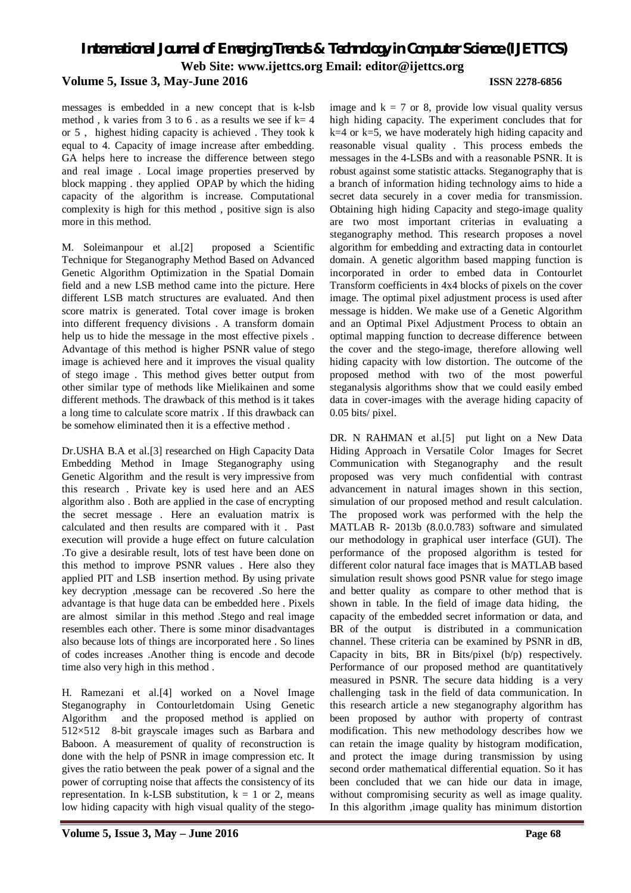# *International Journal of Emerging Trends & Technology in Computer Science (IJETTCS)* **Web Site: www.ijettcs.org Email: editor@ijettcs.org Volume 5, Issue 3, May-June 2016 ISSN 2278-6856**

messages is embedded in a new concept that is k-lsb method, k varies from 3 to 6. as a results we see if  $k=4$ or 5 , highest hiding capacity is achieved . They took k equal to 4. Capacity of image increase after embedding. GA helps here to increase the difference between stego and real image . Local image properties preserved by block mapping, they applied OPAP by which the hiding capacity of the algorithm is increase. Computational complexity is high for this method , positive sign is also more in this method.

M. Soleimanpour et al.[2] proposed a Scientific Technique for Steganography Method Based on Advanced Genetic Algorithm Optimization in the Spatial Domain field and a new LSB method came into the picture. Here different LSB match structures are evaluated. And then score matrix is generated. Total cover image is broken into different frequency divisions . A transform domain help us to hide the message in the most effective pixels. Advantage of this method is higher PSNR value of stego image is achieved here and it improves the visual quality of stego image . This method gives better output from other similar type of methods like Mielikainen and some different methods. The drawback of this method is it takes a long time to calculate score matrix . If this drawback can be somehow eliminated then it is a effective method .

Dr.USHA B.A et al.[3] researched on High Capacity Data Embedding Method in Image Steganography using Genetic Algorithm and the result is very impressive from this research . Private key is used here and an AES algorithm also . Both are applied in the case of encrypting the secret message . Here an evaluation matrix is calculated and then results are compared with it . Past execution will provide a huge effect on future calculation .To give a desirable result, lots of test have been done on this method to improve PSNR values . Here also they applied PIT and LSB insertion method. By using private key decryption ,message can be recovered .So here the advantage is that huge data can be embedded here . Pixels are almost similar in this method .Stego and real image resembles each other. There is some minor disadvantages also because lots of things are incorporated here . So lines of codes increases .Another thing is encode and decode time also very high in this method .

H. Ramezani et al.[4] worked on a Novel Image Steganography in Contourletdomain Using Genetic Algorithm and the proposed method is applied on 512×512 8-bit grayscale images such as Barbara and Baboon. A measurement of quality of reconstruction is done with the help of PSNR in image compression etc. It gives the ratio between the peak power of a signal and the power of corrupting noise that affects the consistency of its representation. In k-LSB substitution,  $k = 1$  or 2, means low hiding capacity with high visual quality of the stego-

image and  $k = 7$  or 8, provide low visual quality versus high hiding capacity. The experiment concludes that for  $k=4$  or  $k=5$ , we have moderately high hiding capacity and reasonable visual quality . This process embeds the messages in the 4-LSBs and with a reasonable PSNR. It is robust against some statistic attacks. Steganography that is a branch of information hiding technology aims to hide a secret data securely in a cover media for transmission. Obtaining high hiding Capacity and stego-image quality are two most important criterias in evaluating a steganography method. This research proposes a novel algorithm for embedding and extracting data in contourlet domain. A genetic algorithm based mapping function is incorporated in order to embed data in Contourlet Transform coefficients in 4x4 blocks of pixels on the cover image. The optimal pixel adjustment process is used after message is hidden. We make use of a Genetic Algorithm and an Optimal Pixel Adjustment Process to obtain an optimal mapping function to decrease difference between the cover and the stego-image, therefore allowing well hiding capacity with low distortion. The outcome of the proposed method with two of the most powerful steganalysis algorithms show that we could easily embed data in cover-images with the average hiding capacity of 0.05 bits/ pixel.

DR. N RAHMAN et al.<sup>[5]</sup> put light on a New Data Hiding Approach in Versatile Color Images for Secret Communication with Steganography and the result proposed was very much confidential with contrast advancement in natural images shown in this section, simulation of our proposed method and result calculation. The proposed work was performed with the help the MATLAB R- 2013b (8.0.0.783) software and simulated our methodology in graphical user interface (GUI). The performance of the proposed algorithm is tested for different color natural face images that is MATLAB based simulation result shows good PSNR value for stego image and better quality as compare to other method that is shown in table. In the field of image data hiding, the capacity of the embedded secret information or data, and BR of the output is distributed in a communication channel. These criteria can be examined by PSNR in dB, Capacity in bits, BR in Bits/pixel (b/p) respectively. Performance of our proposed method are quantitatively measured in PSNR. The secure data hidding is a very challenging task in the field of data communication. In this research article a new steganography algorithm has been proposed by author with property of contrast modification. This new methodology describes how we can retain the image quality by histogram modification, and protect the image during transmission by using second order mathematical differential equation. So it has been concluded that we can hide our data in image, without compromising security as well as image quality. In this algorithm ,image quality has minimum distortion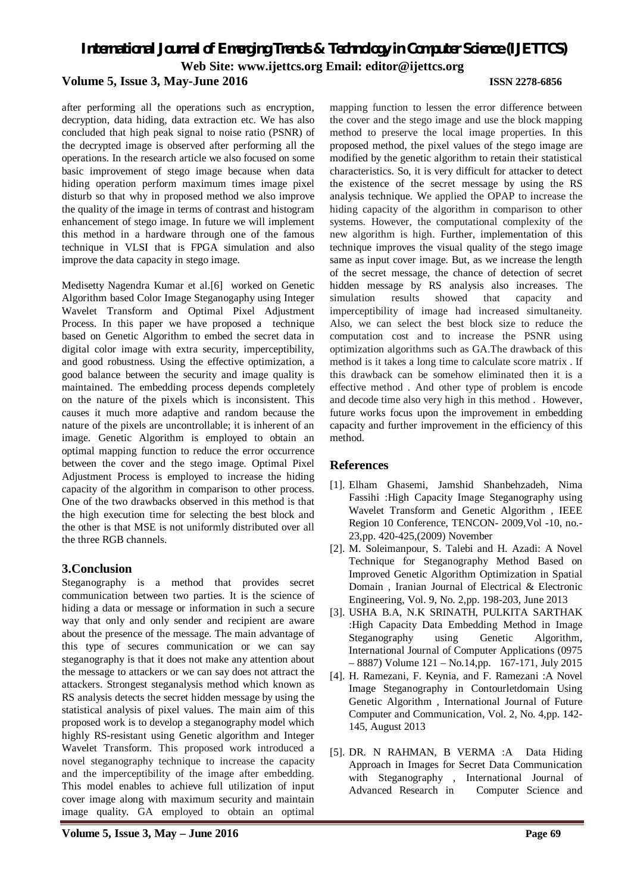# *International Journal of Emerging Trends & Technology in Computer Science (IJETTCS)* **Web Site: www.ijettcs.org Email: editor@ijettcs.org Volume 5, Issue 3, May-June 2016 ISSN 2278-6856**

after performing all the operations such as encryption, decryption, data hiding, data extraction etc. We has also concluded that high peak signal to noise ratio (PSNR) of the decrypted image is observed after performing all the operations. In the research article we also focused on some basic improvement of stego image because when data hiding operation perform maximum times image pixel disturb so that why in proposed method we also improve the quality of the image in terms of contrast and histogram enhancement of stego image. In future we will implement this method in a hardware through one of the famous technique in VLSI that is FPGA simulation and also improve the data capacity in stego image.

Medisetty Nagendra Kumar et al.[6] worked on Genetic Algorithm based Color Image Steganogaphy using Integer Wavelet Transform and Optimal Pixel Adjustment Process. In this paper we have proposed a technique based on Genetic Algorithm to embed the secret data in digital color image with extra security, imperceptibility, and good robustness. Using the effective optimization, a good balance between the security and image quality is maintained. The embedding process depends completely on the nature of the pixels which is inconsistent. This causes it much more adaptive and random because the nature of the pixels are uncontrollable; it is inherent of an image. Genetic Algorithm is employed to obtain an optimal mapping function to reduce the error occurrence between the cover and the stego image. Optimal Pixel Adjustment Process is employed to increase the hiding capacity of the algorithm in comparison to other process. One of the two drawbacks observed in this method is that the high execution time for selecting the best block and the other is that MSE is not uniformly distributed over all the three RGB channels.

# **3.Conclusion**

Steganography is a method that provides secret communication between two parties. It is the science of hiding a data or message or information in such a secure way that only and only sender and recipient are aware about the presence of the message. The main advantage of this type of secures communication or we can say steganography is that it does not make any attention about the message to attackers or we can say does not attract the attackers. Strongest steganalysis method which known as RS analysis detects the secret hidden message by using the statistical analysis of pixel values. The main aim of this proposed work is to develop a steganography model which highly RS-resistant using Genetic algorithm and Integer Wavelet Transform. This proposed work introduced a novel steganography technique to increase the capacity and the imperceptibility of the image after embedding. This model enables to achieve full utilization of input cover image along with maximum security and maintain image quality. GA employed to obtain an optimal

mapping function to lessen the error difference between the cover and the stego image and use the block mapping method to preserve the local image properties. In this proposed method, the pixel values of the stego image are modified by the genetic algorithm to retain their statistical characteristics. So, it is very difficult for attacker to detect the existence of the secret message by using the RS analysis technique. We applied the OPAP to increase the hiding capacity of the algorithm in comparison to other systems. However, the computational complexity of the new algorithm is high. Further, implementation of this technique improves the visual quality of the stego image same as input cover image. But, as we increase the length of the secret message, the chance of detection of secret hidden message by RS analysis also increases. The simulation results showed that capacity and imperceptibility of image had increased simultaneity. Also, we can select the best block size to reduce the computation cost and to increase the PSNR using optimization algorithms such as GA.The drawback of this method is it takes a long time to calculate score matrix . If this drawback can be somehow eliminated then it is a effective method . And other type of problem is encode and decode time also very high in this method . However, future works focus upon the improvement in embedding capacity and further improvement in the efficiency of this method.

# **References**

- [1]. Elham Ghasemi, Jamshid Shanbehzadeh, Nima Fassihi :High Capacity Image Steganography using Wavelet Transform and Genetic Algorithm , IEEE Region 10 Conference, TENCON- 2009,Vol -10, no.- 23,pp. 420-425,(2009) November
- [2]. M. Soleimanpour, S. Talebi and H. Azadi: A Novel Technique for Steganography Method Based on Improved Genetic Algorithm Optimization in Spatial Domain , Iranian Journal of Electrical & Electronic Engineering, Vol. 9, No. 2,pp. 198-203, June 2013
- [3]. USHA B.A, N.K SRINATH, PULKITA SARTHAK :High Capacity Data Embedding Method in Image Steganography using Genetic Algorithm, International Journal of Computer Applications (0975 – 8887) Volume 121 – No.14,pp. 167-171, July 2015
- [4]. H. Ramezani, F. Keynia, and F. Ramezani :A Novel Image Steganography in Contourletdomain Using Genetic Algorithm , International Journal of Future Computer and Communication, Vol. 2, No. 4,pp. 142- 145, August 2013
- [5]. DR. N RAHMAN, B VERMA :A Data Hiding Approach in Images for Secret Data Communication with Steganography , International Journal of Advanced Research in Computer Science and